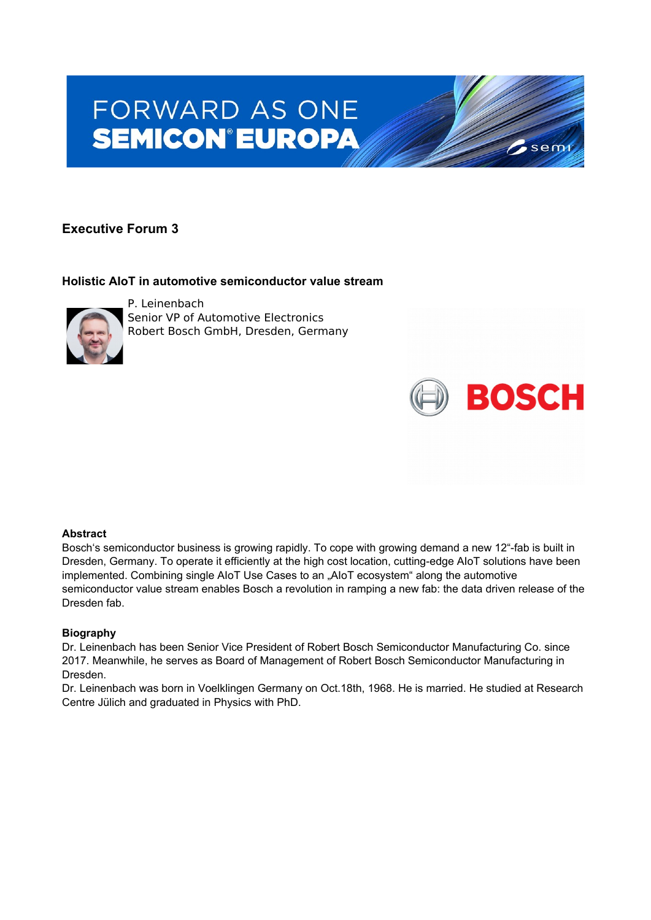# FORWARD AS ONE **SEMICON®EUROPA**

## **Executive Forum 3**

### **Holistic AIoT in automotive semiconductor value stream**



P. Leinenbach Senior VP of Automotive Electronics Robert Bosch GmbH, Dresden, Germany

#### **Abstract**

Bosch's semiconductor business is growing rapidly. To cope with growing demand a new 12"-fab is built in Dresden, Germany. To operate it efficiently at the high cost location, cutting-edge AIoT solutions have been implemented. Combining single AIoT Use Cases to an "AIoT ecosystem" along the automotive semiconductor value stream enables Bosch a revolution in ramping a new fab: the data driven release of the Dresden fab.

 $\sim$  semi

**BOSCH** 

#### **Biography**

Dr. Leinenbach has been Senior Vice President of Robert Bosch Semiconductor Manufacturing Co. since 2017. Meanwhile, he serves as Board of Management of Robert Bosch Semiconductor Manufacturing in Dresden.

Dr. Leinenbach was born in Voelklingen Germany on Oct.18th, 1968. He is married. He studied at Research Centre Jülich and graduated in Physics with PhD.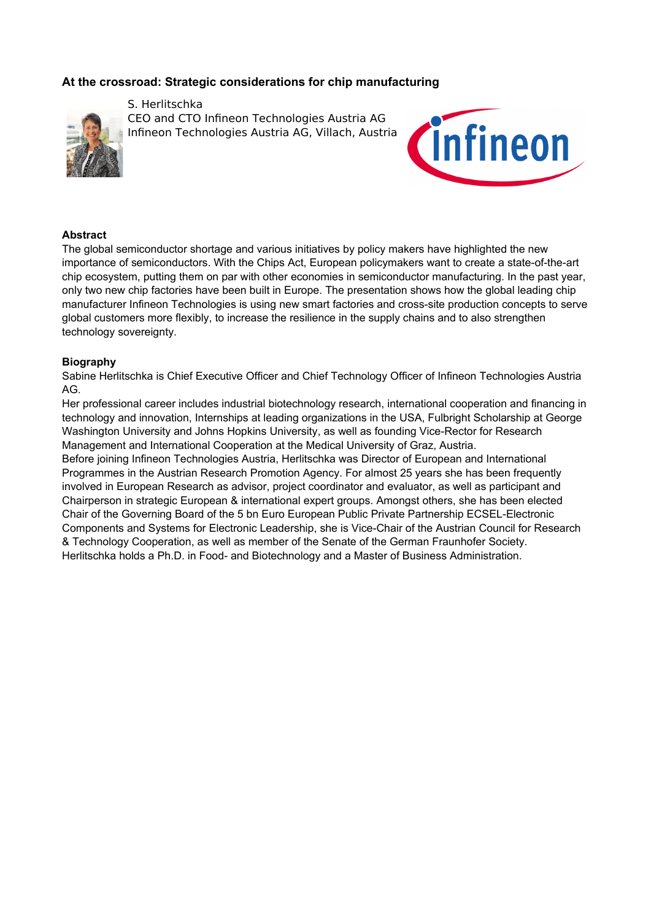## **At the crossroad: Strategic considerations for chip manufacturing**



S. Herlitschka CEO and CTO Infineon Technologies Austria AG Infineon Technologies Austria AG, Villach, Austria



#### **Abstract**

The global semiconductor shortage and various initiatives by policy makers have highlighted the new importance of semiconductors. With the Chips Act, European policymakers want to create a state-of-the-art chip ecosystem, putting them on par with other economies in semiconductor manufacturing. In the past year, only two new chip factories have been built in Europe. The presentation shows how the global leading chip manufacturer Infineon Technologies is using new smart factories and cross-site production concepts to serve global customers more flexibly, to increase the resilience in the supply chains and to also strengthen technology sovereignty.

#### **Biography**

Sabine Herlitschka is Chief Executive Officer and Chief Technology Officer of Infineon Technologies Austria AG.

Her professional career includes industrial biotechnology research, international cooperation and financing in technology and innovation, Internships at leading organizations in the USA, Fulbright Scholarship at George Washington University and Johns Hopkins University, as well as founding Vice-Rector for Research Management and International Cooperation at the Medical University of Graz, Austria.

Before joining Infineon Technologies Austria, Herlitschka was Director of European and International Programmes in the Austrian Research Promotion Agency. For almost 25 years she has been frequently involved in European Research as advisor, project coordinator and evaluator, as well as participant and Chairperson in strategic European & international expert groups. Amongst others, she has been elected Chair of the Governing Board of the 5 bn Euro European Public Private Partnership ECSEL-Electronic Components and Systems for Electronic Leadership, she is Vice-Chair of the Austrian Council for Research & Technology Cooperation, as well as member of the Senate of the German Fraunhofer Society. Herlitschka holds a Ph.D. in Food- and Biotechnology and a Master of Business Administration.